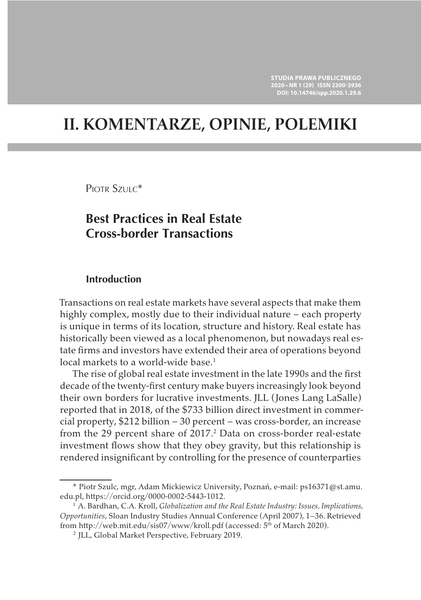# **II. KOMENTARZE, OPINIE, POLEMIKI**

PIOTR SZULC<sup>\*</sup>

## **Best Practices in Real Estate Cross-border Transactions**

### **Introduction**

Transactions on real estate markets have several aspects that make them highly complex, mostly due to their individual nature – each property is unique in terms of its location, structure and history. Real estate has historically been viewed as a local phenomenon, but nowadays real estate firms and investors have extended their area of operations beyond local markets to a world-wide base.<sup>1</sup>

The rise of global real estate investment in the late 1990s and the first decade of the twenty-first century make buyers increasingly look beyond their own borders for lucrative investments. JLL (Jones Lang LaSalle) reported that in 2018, of the \$733 billion direct investment in commercial property, \$212 billion – 30 percent – was cross-border, an increase from the 29 percent share of 2017.<sup>2</sup> Data on cross-border real-estate investment flows show that they obey gravity, but this relationship is rendered insignificant by controlling for the presence of counterparties

<sup>\*</sup> Piotr Szulc, mgr, Adam Mickiewicz University, Poznań, e-mail: ps16371@st.amu. edu.pl, https://orcid.org/0000-0002-5443-1012.

<sup>1</sup> A. Bardhan, C.A. Kroll, *Globalization and the Real Estate Industry: Issues, Implications, Opportunities*, Sloan Industry Studies Annual Conference (April 2007), 1–36. Retrieved from http://web.mit.edu/sis07/www/kroll.pdf (accessed: 5<sup>th</sup> of March 2020).

<sup>2</sup> JLL, Global Market Perspective, February 2019.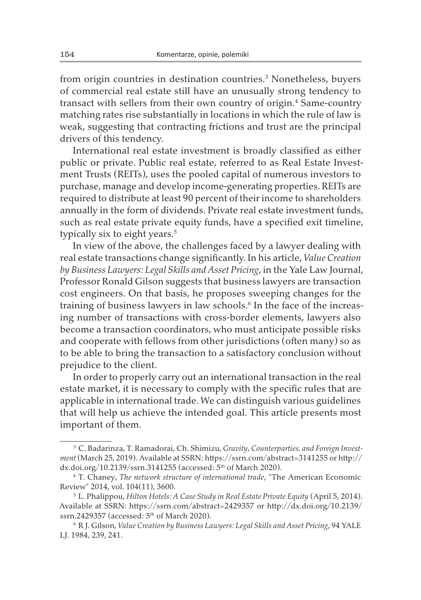from origin countries in destination countries.<sup>3</sup> Nonetheless, buyers of commercial real estate still have an unusually strong tendency to transact with sellers from their own country of origin.<sup>4</sup> Same-country matching rates rise substantially in locations in which the rule of law is weak, suggesting that contracting frictions and trust are the principal drivers of this tendency.

International real estate investment is broadly classified as either public or private. Public real estate, referred to as Real Estate Investment Trusts (REITs), uses the pooled capital of numerous investors to purchase, manage and develop income-generating properties. REITs are required to distribute at least 90 percent of their income to shareholders annually in the form of dividends. Private real estate investment funds, such as real estate private equity funds, have a specified exit timeline, typically six to eight years.<sup>5</sup>

In view of the above, the challenges faced by a lawyer dealing with real estate transactions change significantly. In his article, *Value Creation by Business Lawyers: Legal Skills and Asset Pricing*, in the Yale Law Journal, Professor Ronald Gilson suggests that business lawyers are transaction cost engineers. On that basis, he proposes sweeping changes for the training of business lawyers in law schools.<sup>6</sup> In the face of the increasing number of transactions with cross-border elements, lawyers also become a transaction coordinators, who must anticipate possible risks and cooperate with fellows from other jurisdictions (often many) so as to be able to bring the transaction to a satisfactory conclusion without prejudice to the client.

In order to properly carry out an international transaction in the real estate market, it is necessary to comply with the specific rules that are applicable in international trade. We can distinguish various guidelines that will help us achieve the intended goal. This article presents most important of them.

<sup>3</sup> C. Badarinza, T. Ramadorai, Ch. Shimizu, *Gravity*, *Counterparties, and Foreign Investment* (March 25, 2019). Available at SSRN: https://ssrn.com/abstract=3141255 or http:// dx.doi.org/10.2139/ssrn.3141255 (accessed:  $5<sup>th</sup>$  of March 2020).

<sup>4</sup> T. Chaney, *The network structure of international trade*, "The American Economic Review" 2014, vol. 104(11), 3600.

<sup>5</sup> L. Phalippou, *Hilton Hotels: A Case Study in Real Estate Private Equity* (April 5, 2014). Available at SSRN: https://ssrn.com/abstract=2429357 or http://dx.doi.org/10.2139/ ssrn.2429357 (accessed: 5th of March 2020).

<sup>6</sup> R J. Gilson, *Value Creation by Business Lawyers: Legal Skills and Asset Pricing*, 94 YALE LJ. 1984, 239, 241.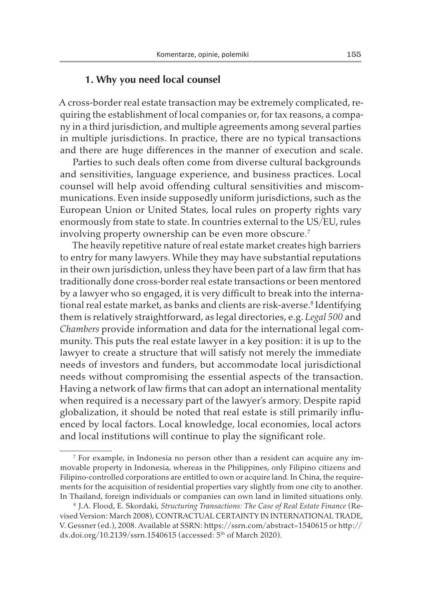## **1. Why you need local counsel**

A cross-border real estate transaction may be extremely complicated, requiring the establishment of local companies or, for tax reasons, a company in a third jurisdiction, and multiple agreements among several parties in multiple jurisdictions. In practice, there are no typical transactions and there are huge differences in the manner of execution and scale.

Parties to such deals often come from diverse cultural backgrounds and sensitivities, language experience, and business practices. Local counsel will help avoid offending cultural sensitivities and miscommunications. Even inside supposedly uniform jurisdictions, such as the European Union or United States, local rules on property rights vary enormously from state to state. In countries external to the US/EU, rules involving property ownership can be even more obscure.<sup>7</sup>

The heavily repetitive nature of real estate market creates high barriers to entry for many lawyers. While they may have substantial reputations in their own jurisdiction, unless they have been part of a law firm that has traditionally done cross-border real estate transactions or been mentored by a lawyer who so engaged, it is very difficult to break into the international real estate market, as banks and clients are risk-averse.<sup>8</sup> Identifying them is relatively straightforward, as legal directories, e.g. *Legal 500* and *Chambers* provide information and data for the international legal community. This puts the real estate lawyer in a key position: it is up to the lawyer to create a structure that will satisfy not merely the immediate needs of investors and funders, but accommodate local jurisdictional needs without compromising the essential aspects of the transaction. Having a network of law firms that can adopt an international mentality when required is a necessary part of the lawyer's armory. Despite rapid globalization, it should be noted that real estate is still primarily influenced by local factors. Local knowledge, local economies, local actors and local institutions will continue to play the significant role.

<sup>7</sup> For example, in Indonesia no person other than a resident can acquire any immovable property in Indonesia, whereas in the Philippines, only Filipino citizens and Filipino-controlled corporations are entitled to own or acquire land. In China, the requirements for the acquisition of residential properties vary slightly from one city to another. In Thailand, foreign individuals or companies can own land in limited situations only.

<sup>8</sup> J.A. Flood, E. Skordaki, *Structuring Transactions: The Case of Real Estate Finance* (Revised Version: March 2008), CONTRACTUAL CERTAINTY IN INTERNATIONAL TRADE, V. Gessner (ed.), 2008. Available at SSRN: https://ssrn.com/abstract=1540615 or http:// dx.doi.org/10.2139/ssrn.1540615 (accessed: 5th of March 2020).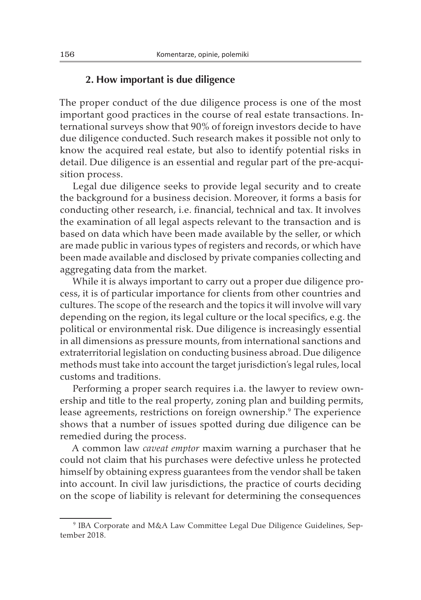## **2. How important is due diligence**

The proper conduct of the due diligence process is one of the most important good practices in the course of real estate transactions. International surveys show that 90% of foreign investors decide to have due diligence conducted. Such research makes it possible not only to know the acquired real estate, but also to identify potential risks in detail. Due diligence is an essential and regular part of the pre-acquisition process.

Legal due diligence seeks to provide legal security and to create the background for a business decision. Moreover, it forms a basis for conducting other research, i.e. financial, technical and tax. It involves the examination of all legal aspects relevant to the transaction and is based on data which have been made available by the seller, or which are made public in various types of registers and records, or which have been made available and disclosed by private companies collecting and aggregating data from the market.

While it is always important to carry out a proper due diligence process, it is of particular importance for clients from other countries and cultures. The scope of the research and the topics it will involve will vary depending on the region, its legal culture or the local specifics, e.g. the political or environmental risk. Due diligence is increasingly essential in all dimensions as pressure mounts, from international sanctions and extraterritorial legislation on conducting business abroad. Due diligence methods must take into account the target jurisdiction's legal rules, local customs and traditions.

Performing a proper search requires i.a. the lawyer to review ownership and title to the real property, zoning plan and building permits, lease agreements, restrictions on foreign ownership.<sup>9</sup> The experience shows that a number of issues spotted during due diligence can be remedied during the process.

A common law *caveat emptor* maxim warning a purchaser that he could not claim that his purchases were defective unless he protected himself by obtaining express guarantees from the vendor shall be taken into account. In civil law jurisdictions, the practice of courts deciding on the scope of liability is relevant for determining the consequences

<sup>9</sup> IBA Corporate and M&A Law Committee Legal Due Diligence Guidelines, September 2018.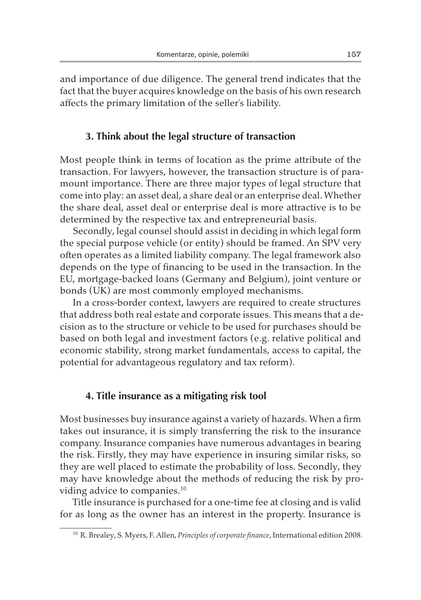and importance of due diligence. The general trend indicates that the fact that the buyer acquires knowledge on the basis of his own research affects the primary limitation of the seller's liability.

### **3. Think about the legal structure of transaction**

Most people think in terms of location as the prime attribute of the transaction. For lawyers, however, the transaction structure is of paramount importance. There are three major types of legal structure that come into play: an asset deal, a share deal or an enterprise deal. Whether the share deal, asset deal or enterprise deal is more attractive is to be determined by the respective tax and entrepreneurial basis.

Secondly, legal counsel should assist in deciding in which legal form the special purpose vehicle (or entity) should be framed. An SPV very often operates as a limited liability company. The legal framework also depends on the type of financing to be used in the transaction. In the EU, mortgage-backed loans (Germany and Belgium), joint venture or bonds (UK) are most commonly employed mechanisms.

In a cross-border context, lawyers are required to create structures that address both real estate and corporate issues. This means that a decision as to the structure or vehicle to be used for purchases should be based on both legal and investment factors (e.g. relative political and economic stability, strong market fundamentals, access to capital, the potential for advantageous regulatory and tax reform).

#### **4. Title insurance as a mitigating risk tool**

Most businesses buy insurance against a variety of hazards. When a firm takes out insurance, it is simply transferring the risk to the insurance company. Insurance companies have numerous advantages in bearing the risk. Firstly, they may have experience in insuring similar risks, so they are well placed to estimate the probability of loss. Secondly, they may have knowledge about the methods of reducing the risk by providing advice to companies.10

Title insurance is purchased for a one-time fee at closing and is valid for as long as the owner has an interest in the property. Insurance is

<sup>10</sup> R. Brealey, S. Myers, F. Allen, *Principles of corporate finance*, International edition 2008.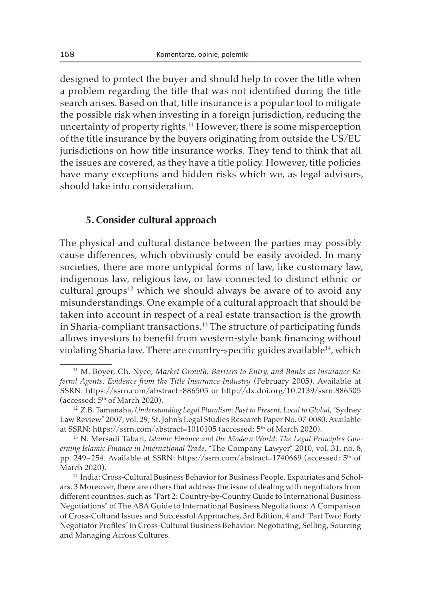designed to protect the buyer and should help to cover the title when a problem regarding the title that was not identified during the title search arises. Based on that, title insurance is a popular tool to mitigate the possible risk when investing in a foreign jurisdiction, reducing the uncertainty of property rights.11 However, there is some misperception of the title insurance by the buyers originating from outside the US/EU jurisdictions on how title insurance works. They tend to think that all the issues are covered, as they have a title policy. However, title policies have many exceptions and hidden risks which we, as legal advisors, should take into consideration.

#### **5. Consider cultural approach**

The physical and cultural distance between the parties may possibly cause differences, which obviously could be easily avoided. In many societies, there are more untypical forms of law, like customary law, indigenous law, religious law, or law connected to distinct ethnic or cultural groups<sup>12</sup> which we should always be aware of to avoid any misunderstandings. One example of a cultural approach that should be taken into account in respect of a real estate transaction is the growth in Sharia-compliant transactions.13 The structure of participating funds allows investors to benefit from western-style bank financing without violating Sharia law. There are country-specific guides available<sup>14</sup>, which

<sup>11</sup> M. Boyer, Ch. Nyce, *Market Growth, Barriers to Entry, and Banks as Insurance Referral Agents: Evidence from the Title Insurance Industry* (February 2005). Available at SSRN: https://ssrn.com/abstract=886505 or http://dx.doi.org/10.2139/ssrn.886505 (accessed: 5th of March 2020). 12 Z.B. Tamanaha, *Understanding Legal Pluralism: Past to Present, Local to Global*,"Sydney

Law Review" 2007, vol. 29; St. John's Legal Studies Research Paper No. 07-0080. Available at SSRN: https://ssrn.com/abstract=1010105 (accessed: 5th of March 2020). 13 N. Mersadi Tabari, *Islamic Finance and the Modern World: The Legal Principles Gov-*

*erning Islamic Finance in International Trade*, "The Company Lawyer" 2010, vol. 31, no. 8, pp. 249–254. Available at SSRN: https://ssrn.com/abstract=1740669 (accessed: 5th of March 2020).

<sup>14</sup> India: Cross-Cultural Business Behavior for Business People, Expatriates and Scholars. 3 Moreover, there are others that address the issue of dealing with negotiators from different countries, such as "Part 2: Country-by-Country Guide to International Business Negotiations" of The ABA Guide to International Business Negotiations: A Comparison of Cross-Cultural Issues and Successful Approaches, 3rd Edition, 4 and "Part Two: Forty Negotiator Profiles" in Cross-Cultural Business Behavior: Negotiating, Selling, Sourcing and Managing Across Cultures.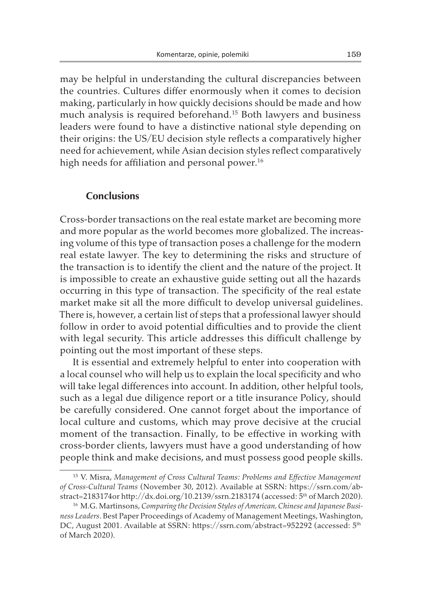may be helpful in understanding the cultural discrepancies between the countries. Cultures differ enormously when it comes to decision making, particularly in how quickly decisions should be made and how much analysis is required beforehand.15 Both lawyers and business leaders were found to have a distinctive national style depending on their origins: the US/EU decision style reflects a comparatively higher need for achievement, while Asian decision styles reflect comparatively high needs for affiliation and personal power.<sup>16</sup>

#### **Conclusions**

Cross-border transactions on the real estate market are becoming more and more popular as the world becomes more globalized. The increasing volume of this type of transaction poses a challenge for the modern real estate lawyer. The key to determining the risks and structure of the transaction is to identify the client and the nature of the project. It is impossible to create an exhaustive guide setting out all the hazards occurring in this type of transaction. The specificity of the real estate market make sit all the more difficult to develop universal guidelines. There is, however, a certain list of steps that a professional lawyer should follow in order to avoid potential difficulties and to provide the client with legal security. This article addresses this difficult challenge by pointing out the most important of these steps.

It is essential and extremely helpful to enter into cooperation with a local counsel who will help us to explain the local specificity and who will take legal differences into account. In addition, other helpful tools, such as a legal due diligence report or a title insurance Policy, should be carefully considered. One cannot forget about the importance of local culture and customs, which may prove decisive at the crucial moment of the transaction. Finally, to be effective in working with cross-border clients, lawyers must have a good understanding of how people think and make decisions, and must possess good people skills.

<sup>15</sup> V. Misra, *Management of Cross Cultural Teams: Problems and Effective Management of Cross-Cultural Teams* (November 30, 2012). Available at SSRN: https://ssrn.com/abstract=2183174or http://dx.doi.org/10.2139/ssrn.2183174 (accessed: 5th of March 2020).

<sup>16</sup> M.G. Martinsons, *Comparing the Decision Styles of American, Chinese and Japanese Business Leaders*. Best Paper Proceedings of Academy of Management Meetings, Washington, DC, August 2001. Available at SSRN: https://ssrn.com/abstract=952292 (accessed: 5th of March 2020).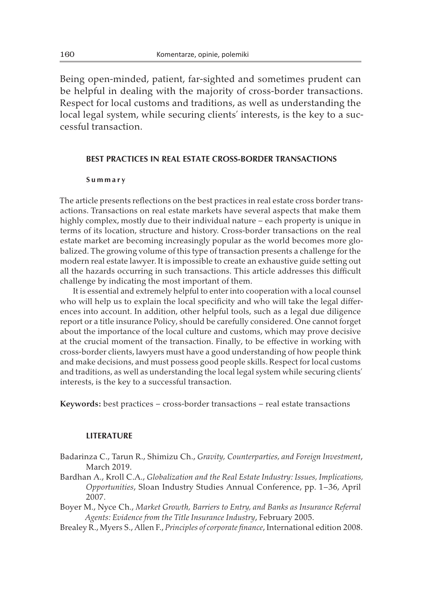Being open-minded, patient, far-sighted and sometimes prudent can be helpful in dealing with the majority of cross-border transactions. Respect for local customs and traditions, as well as understanding the local legal system, while securing clients' interests, is the key to a successful transaction.

#### **BEST PRACTICES IN REAL ESTATE CROSS-BORDER TRANSACTIONS**

#### **Summary**

The article presents reflections on the best practices in real estate cross border transactions. Transactions on real estate markets have several aspects that make them highly complex, mostly due to their individual nature – each property is unique in terms of its location, structure and history. Cross-border transactions on the real estate market are becoming increasingly popular as the world becomes more globalized. The growing volume of this type of transaction presents a challenge for the modern real estate lawyer. It is impossible to create an exhaustive guide setting out all the hazards occurring in such transactions. This article addresses this difficult challenge by indicating the most important of them.

It is essential and extremely helpful to enter into cooperation with a local counsel who will help us to explain the local specificity and who will take the legal differences into account. In addition, other helpful tools, such as a legal due diligence report or a title insurance Policy, should be carefully considered. One cannot forget about the importance of the local culture and customs, which may prove decisive at the crucial moment of the transaction. Finally, to be effective in working with cross-border clients, lawyers must have a good understanding of how people think and make decisions, and must possess good people skills. Respect for local customs and traditions, as well as understanding the local legal system while securing clients' interests, is the key to a successful transaction.

**Keywords:** best practices – cross-border transactions – real estate transactions

#### **LITERATURE**

- Badarinza C., Tarun R., Shimizu Ch., *Gravity, Counterparties, and Foreign Investment*, March 2019.
- Bardhan A., Kroll C.A., *Globalization and the Real Estate Industry: Issues, Implications, Opportunities*, Sloan Industry Studies Annual Conference, pp. 1–36, April 2007.
- Boyer M., Nyce Ch., *Market Growth, Barriers to Entry, and Banks as Insurance Referral Agents: Evidence from the Title Insurance Industry*, February 2005.
- Brealey R., Myers S., Allen F., *Principles of corporate finance*, International edition 2008.